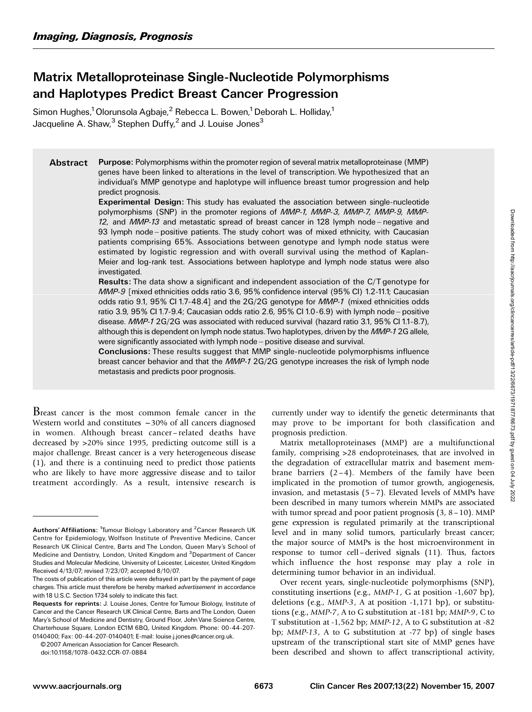# Matrix Metalloproteinase Single-Nucleotide Polymorphisms and Haplotypes Predict Breast Cancer Progression

Simon Hughes,<sup>1</sup> Olorunsola Agbaje,<sup>2</sup> Rebecca L. Bowen,<sup>1</sup> Deborah L. Holliday,<sup>1</sup> Jacqueline A. Shaw, $3$  Stephen Duffy, $2$  and J. Louise Jones $3$ 

Abstract Purpose: Polymorphisms within the promoter region of several matrix metalloproteinase (MMP) genes have been linked to alterations in the level of transcription. We hypothesized that an individual's MMP genotype and haplotype will influence breast tumor progression and help predict prognosis.

> Experimental Design: This study has evaluated the association between single-nucleotide polymorphisms (SNP) in the promoter regions of MMP-1, MMP-3, MMP-7, MMP-9, MMP-12, and  $MMP-13$  and metastatic spread of breast cancer in 128 lymph node – negative and 93 lymph node - positive patients. The study cohort was of mixed ethnicity, with Caucasian patients comprising 65%. Associations between genotype and lymph node status were estimated by logistic regression and with overall survival using the method of Kaplan-Meier and log-rank test. Associations between haplotype and lymph node status were also investigated.

> Results: The data show a significant and independent association of the C/T genotype for MMP-9 [mixed ethnicities odds ratio 3.6, 95% confidence interval (95% CI) 1.2-11.1; Caucasian odds ratio 9.1, 95% CI 1.7-48.4] and the 2G/2G genotype for MMP-1 (mixed ethnicities odds ratio 3.9, 95% CI 1.7-9.4; Caucasian odds ratio 2.6, 95% CI 1.0-6.9) with lymph node ^ positive disease. MMP-1 2G/2G was associated with reduced survival (hazard ratio 3.1, 95% CI 1.1-8.7), although this is dependent on lymph node status. Two haplotypes, driven by the MMP-12G allele, were significantly associated with lymph node - positive disease and survival.

> Conclusions: These results suggest that MMP single-nucleotide polymorphisms influence breast cancer behavior and that the MMP-1 2G/2G genotype increases the risk of lymph node metastasis and predicts poor prognosis.

Breast cancer is the most common female cancer in the Western world and constitutes  $\sim$ 30% of all cancers diagnosed in women. Although breast cancer – related deaths have decreased by >20% since 1995, predicting outcome still is a major challenge. Breast cancer is a very heterogeneous disease (1), and there is a continuing need to predict those patients who are likely to have more aggressive disease and to tailor treatment accordingly. As a result, intensive research is

0140400; Fax: 00-44-207-0140401; E-mail: louise.j.jones@cancer.org.uk. © 2007 American Association for Cancer Research.

doi:10.1158/1078-0432.CCR-07-0884

currently under way to identify the genetic determinants that may prove to be important for both classification and prognosis prediction.

Matrix metalloproteinases (MMP) are a multifunctional family, comprising >28 endoproteinases, that are involved in the degradation of extracellular matrix and basement membrane barriers  $(2-4)$ . Members of the family have been implicated in the promotion of tumor growth, angiogenesis, invasion, and metastasis  $(5-7)$ . Elevated levels of MMPs have been described in many tumors wherein MMPs are associated with tumor spread and poor patient prognosis  $(3, 8-10)$ . MMP gene expression is regulated primarily at the transcriptional level and in many solid tumors, particularly breast cancer; the major source of MMPs is the host microenvironment in response to tumor cell –derived signals (11). Thus, factors which influence the host response may play a role in determining tumor behavior in an individual.

Over recent years, single-nucleotide polymorphisms (SNP), constituting insertions (e.g., MMP-1, G at position -1,607 bp), deletions (e.g., MMP-3, A at position -1,171 bp), or substitutions (e.g., MMP-7, A to G substitution at -181 bp; MMP-9, C to T substitution at -1,562 bp; MMP-12, A to G substitution at -82 bp; MMP-13, A to G substitution at -77 bp) of single bases upstream of the transcriptional start site of MMP genes have been described and shown to affect transcriptional activity,

Authors' Affiliations: <sup>1</sup>Tumour Biology Laboratory and <sup>2</sup> Cancer Research UK Centre for Epidemiology, Wolfson Institute of Preventive Medicine, Cancer Research UK Clinical Centre, Barts and The London, Queen Mary's School of Medicine and Dentistry, London, United Kingdom and <sup>3</sup>Department of Cancer Studies and Molecular Medicine, University of Leicester, Leicester, United Kingdom Received 4/13/07; revised 7/23/07; accepted 8/10/07.

The costs of publication of this article were defrayed in part by the payment of page charges. This article must therefore be hereby marked advertisement in accordance with 18 U.S.C. Section 1734 solely to indicate this fact.

Requests for reprints: J. Louise Jones, Centre for Tumour Biology, Institute of Cancer and the Cancer Research UK Clinical Centre, Barts and The London, Queen Mary's School of Medicine and Dentistry, Ground Floor, JohnVane Science Centre, Charterhouse Square, London EC1M 6BQ, United Kingdom. Phone: 00-44-207-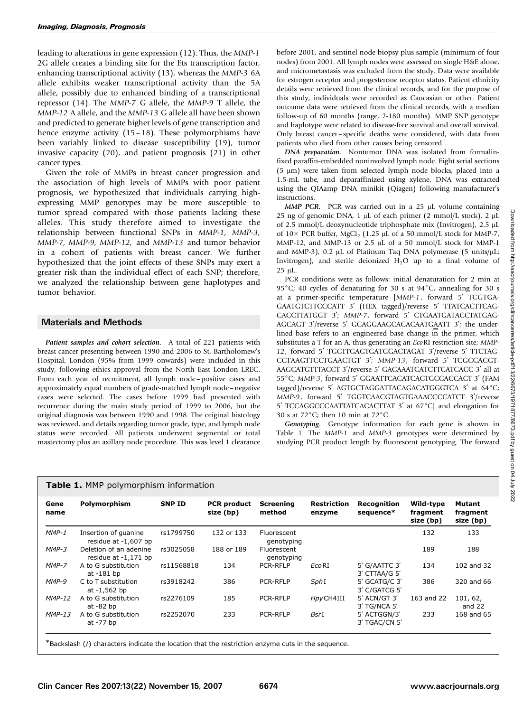leading to alterations in gene expression (12). Thus, the MMP-1 2G allele creates a binding site for the Ets transcription factor, enhancing transcriptional activity (13), whereas the MMP-3 6A allele exhibits weaker transcriptional activity than the 5A allele, possibly due to enhanced binding of a transcriptional repressor (14). The MMP-7 G allele, the MMP-9 T allele, the MMP-12 A allele, and the MMP-13 G allele all have been shown and predicted to generate higher levels of gene transcription and hence enzyme activity (15–18). These polymorphisms have been variably linked to disease susceptibility (19), tumor invasive capacity (20), and patient prognosis (21) in other cancer types.

Given the role of MMPs in breast cancer progression and the association of high levels of MMPs with poor patient prognosis, we hypothesized that individuals carrying highexpressing MMP genotypes may be more susceptible to tumor spread compared with those patients lacking these alleles. This study therefore aimed to investigate the relationship between functional SNPs in MMP-1, MMP-3, MMP-7, MMP-9, MMP-12, and MMP-13 and tumor behavior in a cohort of patients with breast cancer. We further hypothesized that the joint effects of these SNPs may exert a greater risk than the individual effect of each SNP; therefore, we analyzed the relationship between gene haplotypes and tumor behavior.

## Materials and Methods

Patient samples and cohort selection. A total of 221 patients with breast cancer presenting between 1990 and 2006 to St. Bartholomew's Hospital, London (95% from 1999 onwards) were included in this study, following ethics approval from the North East London LREC. From each year of recruitment, all lymph node – positive cases and approximately equal numbers of grade-matched lymph node – negative cases were selected. The cases before 1999 had presented with recurrence during the main study period of 1999 to 2006, but the original diagnosis was between 1990 and 1998. The original histology was reviewed, and details regarding tumor grade, type, and lymph node status were recorded. All patients underwent segmental or total mastectomy plus an axillary node procedure. This was level 1 clearance

| before 2001, and sentinel node biopsy plus sample (minimum of four        |
|---------------------------------------------------------------------------|
| nodes) from 2001. All lymph nodes were assessed on single H&E alone,      |
| and micrometastasis was excluded from the study. Data were available      |
| for estrogen receptor and progesterone receptor status. Patient ethnicity |
| details were retrieved from the clinical records, and for the purpose of  |
| this study, individuals were recorded as Caucasian or other. Patient      |
| outcome data were retrieved from the clinical records, with a median      |
| follow-up of 60 months (range, 2-180 months). MMP SNP genotype            |
| and haplotype were related to disease-free survival and overall survival. |
| Only breast cancer-specific deaths were considered, with data from        |
| patients who died from other causes being censored.                       |
| <b>DNA</b> preparation. Nontumor DNA was isolated from formalin-          |

DNA preparation. Nontumor DNA was isolated from formalinfixed paraffin-embedded noninvolved lymph node. Eight serial sections  $(5 \mu m)$  were taken from selected lymph node blocks, placed into a 1.5-mL tube, and deparaffinized using xylene. DNA was extracted using the QIAamp DNA minikit (Qiagen) following manufacturer's instructions.

MMP PCR. PCR was carried out in a  $25 \mu L$  volume containing 25 ng of genomic DNA, 1  $\mu$ L of each primer (2 mmol/L stock), 2  $\mu$ L of 2.5 mmol/L deoxynucleotide triphosphate mix (Invitrogen), 2.5 µL of  $10 \times$  PCR buffer, MgCl<sub>2</sub> (1.25 µL of a 50 mmol/L stock for MMP-7, MMP-12, and MMP-13 or 2.5  $\mu$ L of a 50 mmol/L stock for MMP-1 and MMP-3), 0.2  $\mu$ L of Platinum Taq DNA polymerase (5 units/ $\mu$ L; Invitrogen), and sterile deionized  $H_2O$  up to a final volume of 25 µL.

PCR conditions were as follows: initial denaturation for 2 min at 95 $^{\circ}$ C; 40 cycles of denaturing for 30 s at 94 $^{\circ}$ C, annealing for 30 s at a primer-specific temperature [MMP-1, forward 5' TCGTGA-GAATGTCTTCCCATT 3' (HEX tagged)/reverse 5' TTATCACTTCAG-CACCTTATGGT 3'; MMP-7, forward 5' CTGAATGATACCTATGAG-AGCAGT 3'/reverse 5' GCAGGAAGCACACAATGAATT 3'; the underlined base refers to an engineered base change in the primer, which substitutes a T for an A, thus generating an EcoRI restriction site; MMP-12, forward 5' TGCTTGAGTGATGGACTAGAT 3'/reverse 5' TTCTAG-CCTAAGTTCCTGAACTGT 3'; MMP-13, forward 5' TCGCCACGT-AAGCATGTTTACCT 3'/reverse 5' GACAAATCATCTTCATCACC 3' all at 55°C; MMP-3, forward 5' GGAATTCACATCACTGCCACCACT 3' (FAM tagged)/reverse 5' AGTGCTAGGATTACAGACATGGGTCA 3' at 64°C; MMP-9, forward 5' TGGTCAACGTAGTGAAACCCCATCT 3'/reverse 5' TCCAGGCCCAATTATCACACTTAT 3' at 67°C] and elongation for 30 s at  $72^{\circ}$ C; then 10 min at  $72^{\circ}$ C.

Genotyping. Genotype information for each gene is shown in Table 1. The MMP-1 and MMP-3 genotypes were determined by studying PCR product length by fluorescent genotyping. The forward

| Table 1. MMP polymorphism information |  |  |  |
|---------------------------------------|--|--|--|
|---------------------------------------|--|--|--|

| Gene<br>name  | Polymorphism                                     | <b>SNP ID</b> | <b>PCR</b> product<br>size (bp) | <b>Screening</b><br>method | <b>Restriction</b><br>enzyme | Recognition<br>sequence*         | Wild-type<br>fragment<br>size (bp) | Mutant<br>fragment<br>size (bp) |
|---------------|--------------------------------------------------|---------------|---------------------------------|----------------------------|------------------------------|----------------------------------|------------------------------------|---------------------------------|
| $MMP-1$       | Insertion of quanine<br>residue at -1,607 bp     | rs1799750     | 132 or 133                      | Fluorescent<br>genotyping  |                              |                                  | 132                                | 133                             |
| MMP-3         | Deletion of an adenine<br>residue at $-1,171$ bp | rs3025058     | 188 or 189                      | Fluorescent<br>genotyping  |                              |                                  | 189                                | 188                             |
| MMP-7         | A to G substitution<br>at -181 bp                | rs11568818    | 134                             | PCR-RFLP                   | $ECO$ RI                     | 5' G/AATTC 3'<br>3' CTTAA/G 5'   | 134                                | 102 and 32                      |
| $MMP-9$       | C to T substitution<br>at -1,562 bp              | rs3918242     | 386                             | PCR-RFLP                   | SphI                         | 5' GCATG/C 3'<br>3' C/GATCG 5'   | 386                                | 320 and 66                      |
| <b>MMP-12</b> | A to G substitution<br>at $-82$ bp               | rs2276109     | 185                             | <b>PCR-RFLP</b>            | HpyCH4III                    | $5'$ ACN/GT $3'$<br>3' TG/NCA 5' | 163 and 22                         | 101, 62,<br>and $22$            |
| $MMP-13$      | A to G substitution<br>at -77 bp                 | rs2252070     | 233                             | <b>PCR-RFLP</b>            | BsrI                         | 5' ACTGGN/3'<br>3' TGAC/CN 5'    | 233                                | 168 and 65                      |

\*Backslash (/) characters indicate the location that the restriction enzyme cuts in the sequence.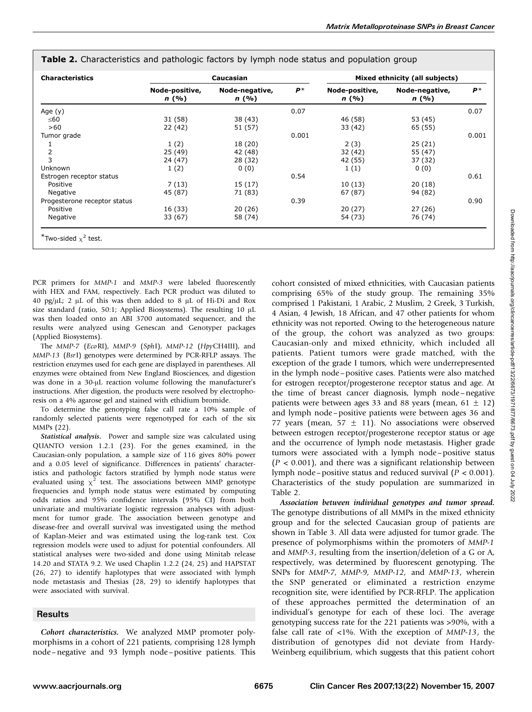| <b>Characteristics</b>       |                         | Caucasian               |       |                         | Mixed ethnicity (all subjects) |       |
|------------------------------|-------------------------|-------------------------|-------|-------------------------|--------------------------------|-------|
|                              | Node-positive,<br>n (%) | Node-negative,<br>n (%) | $P^*$ | Node-positive,<br>n (%) | Node-negative,<br>n (%)        | $P^*$ |
| Age $(y)$                    |                         |                         | 0.07  |                         |                                | 0.07  |
| ≤60                          | 31 (58)                 | 38 (43)                 |       | 46 (58)                 | 53 (45)                        |       |
| >60                          | 22 (42)                 | 51 (57)                 |       | 33(42)                  | 65 (55)                        |       |
| Tumor grade                  |                         |                         | 0.001 |                         |                                | 0.001 |
|                              | 1(2)                    | 18 (20)                 |       | 2(3)                    | 25(21)                         |       |
| $\overline{2}$               | 25 (49)                 | 42 (48)                 |       | 32 (42)                 | 55 (47)                        |       |
| 3                            | 24 (47)                 | 28 (32)                 |       | 42 (55)                 | 37 (32)                        |       |
| <b>Unknown</b>               | 1(2)                    | 0(0)                    |       | 1(1)                    | 0(0)                           |       |
| Estrogen receptor status     |                         |                         | 0.54  |                         |                                | 0.61  |
| Positive                     | 7(13)                   | 15(17)                  |       | 10(13)                  | 20(18)                         |       |
| Negative                     | 45 (87)                 | 71 (83)                 |       | 67 (87)                 | 94 (82)                        |       |
| Progesterone receptor status |                         |                         | 0.39  |                         |                                | 0.90  |
| Positive                     | 16 (33)                 | 20 (26)                 |       | 20 (27)                 | 27 (26)                        |       |
| Negative                     | 33 (67)                 | 58 (74)                 |       | 54 (73)                 | 76 (74)                        |       |

Table 2. Characteristics and pathologic factors by lymph node status and population group

PCR primers for MMP-1 and MMP-3 were labeled fluorescently with HEX and FAM, respectively. Each PCR product was diluted to 40 pg/ $\mu$ L; 2  $\mu$ L of this was then added to 8  $\mu$ L of Hi-Di and Rox size standard (ratio, 50:1; Applied Biosystems). The resulting 10  $\mu$ L was then loaded onto an ABI 3700 automated sequencer, and the results were analyzed using Genescan and Genotyper packages (Applied Biosystems).

The MMP-7 (EcoRI), MMP-9 (SphI), MMP-12 (HpyCH4III), and MMP-13 (BsrI) genotypes were determined by PCR-RFLP assays. The restriction enzymes used for each gene are displayed in parentheses. All enzymes were obtained from New England Biosciences, and digestion was done in a 30-µL reaction volume following the manufacturer's instructions. After digestion, the products were resolved by electrophoresis on a 4% agarose gel and stained with ethidium bromide.

To determine the genotyping false call rate a 10% sample of randomly selected patients were regenotyped for each of the six MMPs (22).

Statistical analysis. Power and sample size was calculated using QUANTO version 1.2.1 (23). For the genes examined, in the Caucasian-only population, a sample size of 116 gives 80% power and a 0.05 level of significance. Differences in patients' characteristics and pathologic factors stratified by lymph node status were evaluated using  $\chi^2$  test. The associations between MMP genotype frequencies and lymph node status were estimated by computing odds ratios and 95% confidence intervals (95% CI) from both univariate and multivariate logistic regression analyses with adjustment for tumor grade. The association between genotype and disease-free and overall survival was investigated using the method of Kaplan-Meier and was estimated using the log-rank test. Cox regression models were used to adjust for potential confounders. All statistical analyses were two-sided and done using Minitab release 14.20 and STATA 9.2. We used Chaplin 1.2.2 (24, 25) and HAPSTAT (26, 27) to identify haplotypes that were associated with lymph node metastasis and Thesias (28, 29) to identify haplotypes that were associated with survival.

### **Results**

Cohort characteristics. We analyzed MMP promoter polymorphisms in a cohort of 221 patients, comprising 128 lymph node –negative and 93 lymph node –positive patients. This cohort consisted of mixed ethnicities, with Caucasian patients comprising 65% of the study group. The remaining 35% comprised 1 Pakistani, 1 Arabic, 2 Muslim, 2 Greek, 3 Turkish, 4 Asian, 4 Jewish, 18 African, and 47 other patients for whom ethnicity was not reported. Owing to the heterogeneous nature of the group, the cohort was analyzed as two groups: Caucasian-only and mixed ethnicity, which included all patients. Patient tumors were grade matched, with the exception of the grade I tumors, which were underrepresented in the lymph node –positive cases. Patients were also matched for estrogen receptor/progesterone receptor status and age. At the time of breast cancer diagnosis, lymph node –negative patients were between ages 33 and 88 years (mean,  $61 \pm 12$ ) and lymph node –positive patients were between ages 36 and 77 years (mean, 57  $\pm$  11). No associations were observed between estrogen receptor/progesterone receptor status or age and the occurrence of lymph node metastasis. Higher grade tumors were associated with a lymph node-positive status  $(P < 0.001)$ , and there was a significant relationship between lymph node – positive status and reduced survival  $(P < 0.001)$ . Characteristics of the study population are summarized in Table 2.

Association between individual genotypes and tumor spread. The genotype distributions of all MMPs in the mixed ethnicity group and for the selected Caucasian group of patients are shown in Table 3. All data were adjusted for tumor grade. The presence of polymorphisms within the promoters of MMP-1 and MMP-3, resulting from the insertion/deletion of a G or A, respectively, was determined by fluorescent genotyping. The SNPs for MMP-7, MMP-9, MMP-12, and MMP-13, wherein the SNP generated or eliminated a restriction enzyme recognition site, were identified by PCR-RFLP. The application of these approaches permitted the determination of an individual's genotype for each of these loci. The average genotyping success rate for the 221 patients was >90%, with a false call rate of <1%. With the exception of MMP-13, the distribution of genotypes did not deviate from Hardy-Weinberg equilibrium, which suggests that this patient cohort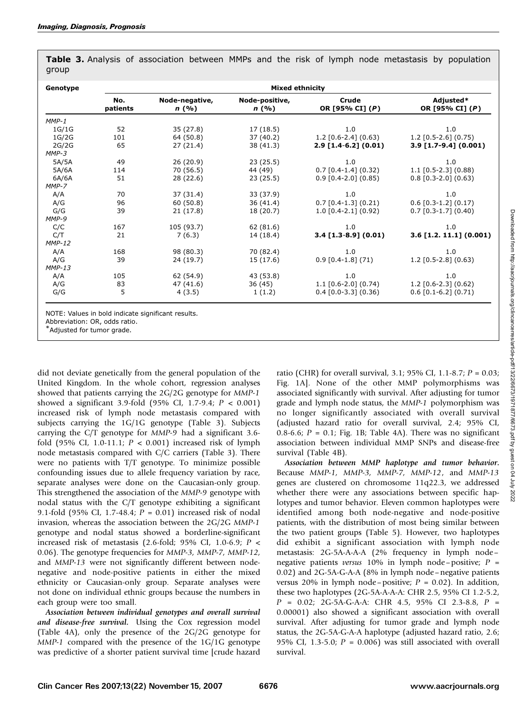| Genotype | <b>Mixed ethnicity</b> |                         |                         |                          |                              |  |  |  |
|----------|------------------------|-------------------------|-------------------------|--------------------------|------------------------------|--|--|--|
|          | No.<br>patients        | Node-negative,<br>n (%) | Node-positive,<br>n (%) | Crude<br>OR [95% CI] (P) | Adjusted*<br>OR [95% CI] (P) |  |  |  |
| $MMP-1$  |                        |                         |                         |                          |                              |  |  |  |
| 1G/1G    | 52                     | 35 (27.8)               | 17 (18.5)               | 1.0                      | 1.0                          |  |  |  |
| 1G/2G    | 101                    | 64 (50.8)               | 37 (40.2)               | $1.2$ [0.6-2.4] (0.63)   | $1.2$ [0.5-2.6] (0.75)       |  |  |  |
| 2G/2G    | 65                     | 27(21.4)                | 38 (41.3)               | $2.9$ [1.4-6.2] (0.01)   | $3.9$ [1.7-9.4] (0.001)      |  |  |  |
| $MMP-3$  |                        |                         |                         |                          |                              |  |  |  |
| 5A/5A    | 49                     | 26 (20.9)               | 23(25.5)                | 1.0                      | 1.0                          |  |  |  |
| 5A/6A    | 114                    | 70 (56.5)               | 44 (49)                 | $0.7$ [0.4-1.4] (0.32)   | $1.1$ [0.5-2.3] (0.88)       |  |  |  |
| 6A/6A    | 51                     | 28 (22.6)               | 23(25.5)                | $0.9$ [0.4-2.0] (0.85)   | $0.8$ [0.3-2.0] (0.63)       |  |  |  |
| $MMP-7$  |                        |                         |                         |                          |                              |  |  |  |
| A/A      | 70                     | 37(31.4)                | 33 (37.9)               | 1.0                      | 1.0                          |  |  |  |
| A/G      | 96                     | 60(50.8)                | 36(41.4)                | $0.7$ [0.4-1.3] (0.21)   | $0.6$ [0.3-1.2] (0.17)       |  |  |  |
| G/G      | 39                     | 21(17.8)                | 18 (20.7)               | $1.0$ [0.4-2.1] (0.92)   | $0.7$ [0.3-1.7] (0.40)       |  |  |  |
| MMP-9    |                        |                         |                         |                          |                              |  |  |  |
| C/C      | 167                    | 105 (93.7)              | 62 (81.6)               | 1.0                      | 1.0                          |  |  |  |
| C/T      | 21                     | 7(6.3)                  | 14 (18.4)               | $3.4$ [1.3-8.9] (0.01)   | $3.6$ [1.2. 11.1] (0.001)    |  |  |  |
| $MMP-12$ |                        |                         |                         |                          |                              |  |  |  |
| A/A      | 168                    | 98 (80.3)               | 70 (82.4)               | 1.0                      | 1.0                          |  |  |  |
| A/G      | 39                     | 24 (19.7)               | 15 (17.6)               | $0.9$ [0.4-1.8] (71)     | $1.2$ [0.5-2.8] (0.63)       |  |  |  |
| $MMP-13$ |                        |                         |                         |                          |                              |  |  |  |
| A/A      | 105                    | 62 (54.9)               | 43 (53.8)               | 1.0                      | 1.0                          |  |  |  |
| A/G      | 83                     | 47 (41.6)               | 36(45)                  | $1.1$ [0.6-2.0] (0.74)   | $1.2$ [0.6-2.3] (0.62)       |  |  |  |
| G/G      | 5                      | 4(3.5)                  | 1(1.2)                  | $0.4$ [0.0-3.3] (0.36)   | $0.6$ [0.1-6.2] (0.71)       |  |  |  |

Table 3. Analysis of association between MMPs and the risk of lymph node metastasis by population group

NOTE: Values in bold indicate significant results.

Abbreviation: OR, odds ratio.

\*Adjusted for tumor grade.

did not deviate genetically from the general population of the United Kingdom. In the whole cohort, regression analyses showed that patients carrying the 2G/2G genotype for MMP-1 showed a significant 3.9-fold (95% CI, 1.7-9.4; P < 0.001) increased risk of lymph node metastasis compared with subjects carrying the 1G/1G genotype (Table 3). Subjects carrying the C/T genotype for MMP-9 had a significant 3.6 fold (95% CI, 1.0-11.1;  $P < 0.001$ ) increased risk of lymph node metastasis compared with C/C carriers (Table 3). There were no patients with T/T genotype. To minimize possible confounding issues due to allele frequency variation by race, separate analyses were done on the Caucasian-only group. This strengthened the association of the MMP-9 genotype with nodal status with the C/T genotype exhibiting a significant 9.1-fold (95% CI, 1.7-48.4;  $P = 0.01$ ) increased risk of nodal invasion, whereas the association between the 2G/2G MMP-1 genotype and nodal status showed a borderline-significant increased risk of metastasis (2.6-fold; 95% CI, 1.0-6.9;  $P \le$ 0.06). The genotype frequencies for MMP-3, MMP-7, MMP-12, and MMP-13 were not significantly different between nodenegative and node-positive patients in either the mixed ethnicity or Caucasian-only group. Separate analyses were not done on individual ethnic groups because the numbers in each group were too small.

Association between individual genotypes and overall survival and disease-free survival. Using the Cox regression model (Table 4A), only the presence of the 2G/2G genotype for MMP-1 compared with the presence of the 1G/1G genotype was predictive of a shorter patient survival time [crude hazard

ratio (CHR) for overall survival, 3.1; 95% CI, 1.1-8.7;  $P = 0.03$ ; Fig. 1A]. None of the other MMP polymorphisms was associated significantly with survival. After adjusting for tumor grade and lymph node status, the MMP-1 polymorphism was no longer significantly associated with overall survival (adjusted hazard ratio for overall survival, 2.4; 95% CI, 0.8-6.6;  $P = 0.1$ ; Fig. 1B; Table 4A). There was no significant association between individual MMP SNPs and disease-free survival (Table 4B).

Association between MMP haplotype and tumor behavior. Because MMP-1, MMP-3, MMP-7, MMP-12, and MMP-13 genes are clustered on chromosome 11q22.3, we addressed whether there were any associations between specific haplotypes and tumor behavior. Eleven common haplotypes were identified among both node-negative and node-positive patients, with the distribution of most being similar between the two patient groups (Table 5). However, two haplotypes did exhibit a significant association with lymph node metastasis: 2G-5A-A-A-A (2% frequency in lymph node – negative patients versus 10% in lymph node-positive;  $P =$ 0.02) and 2G-5A-G-A-A (8% in lymph node –negative patients versus 20% in lymph node-positive;  $P = 0.02$ ). In addition, these two haplotypes (2G-5A-A-A-A: CHR 2.5, 95% CI 1.2-5.2, P = 0.02; 2G-5A-G-A-A: CHR 4.5, 95% CI 2.3-8.8, P = 0.00001) also showed a significant association with overall survival. After adjusting for tumor grade and lymph node status, the 2G-5A-G-A-A haplotype (adjusted hazard ratio, 2.6; 95% CI, 1.3-5.0;  $P = 0.006$ ) was still associated with overall survival.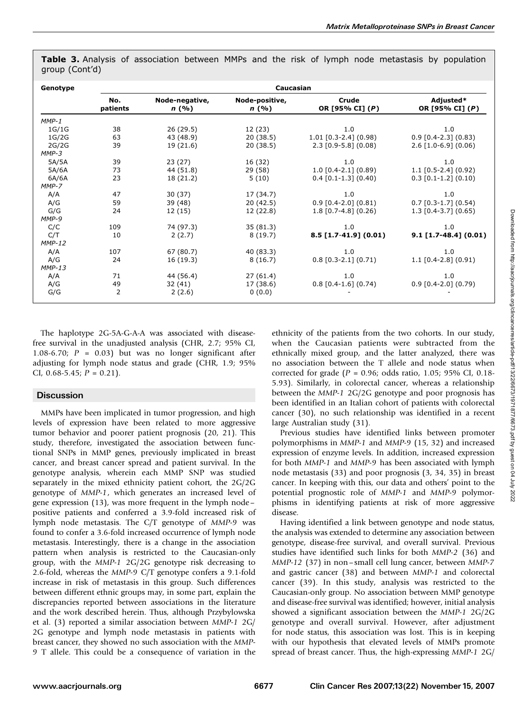| Genotype | Caucasian       |                        |                         |                          |                              |  |  |
|----------|-----------------|------------------------|-------------------------|--------------------------|------------------------------|--|--|
|          | No.<br>patients | Node-negative,<br>n(%) | Node-positive,<br>n (%) | Crude<br>OR [95% CI] (P) | Adjusted*<br>OR [95% CI] (P) |  |  |
| $MMP-1$  |                 |                        |                         |                          |                              |  |  |
| 1G/1G    | 38              | 26 (29.5)              | 12 (23)                 | 1.0                      | 1.0                          |  |  |
| 1G/2G    | 63              | 43 (48.9)              | 20(38.5)                | $1.01$ [0.3-2.4] (0.98)  | $0.9$ [0.4-2.3] (0.83)       |  |  |
| 2G/2G    | 39              | 19 (21.6)              | 20(38.5)                | $2.3$ [0.9-5.8] (0.08)   | $2.6$ [1.0-6.9] (0.06)       |  |  |
| $MMP-3$  |                 |                        |                         |                          |                              |  |  |
| 5A/5A    | 39              | 23(27)                 | 16 (32)                 | 1.0                      | 1.0                          |  |  |
| 5A/6A    | 73              | 44 (51.8)              | 29 (58)                 | $1.0$ [0.4-2.1] (0.89)   | $1.1$ [0.5-2.4] (0.92)       |  |  |
| 6A/6A    | 23              | 18 (21.2)              | 5(10)                   | $0.4$ [0.1-1.3] (0.40)   | $0.3$ [0.1-1.2] (0.10)       |  |  |
| MMP-7    |                 |                        |                         |                          |                              |  |  |
| A/A      | 47              | 30(37)                 | 17 (34.7)               | 1.0                      | 1.0                          |  |  |
| A/G      | 59              | 39 (48)                | 20(42.5)                | $0.9$ [0.4-2.0] (0.81)   | $0.7$ [0.3-1.7] (0.54)       |  |  |
| G/G      | 24              | 12 (15)                | 12 (22.8)               | $1.8$ [0.7-4.8] (0.26)   | $1.3$ [0.4-3.7] (0.65)       |  |  |
| MMP-9    |                 |                        |                         |                          |                              |  |  |
| C/C      | 109             | 74 (97.3)              | 35(81.3)                | 1.0                      | 1.0                          |  |  |
| C/T      | 10              | 2(2.7)                 | 8(19.7)                 | $8.5$ [1.7-41.9] (0.01)  | $9.1$ [1.7-48.4] (0.01)      |  |  |
| $MMP-12$ |                 |                        |                         |                          |                              |  |  |
| A/A      | 107             | 67 (80.7)              | 40 (83.3)               | 1.0                      | 1.0                          |  |  |
| A/G      | 24              | 16 (19.3)              | 8(16.7)                 | $0.8$ [0.3-2.1] (0.71)   | $1.1$ [0.4-2.8] (0.91)       |  |  |
| $MMP-13$ |                 |                        |                         |                          |                              |  |  |
| A/A      | 71              | 44 (56.4)              | 27(61.4)                | 1.0                      | 1.0                          |  |  |
| A/G      | 49              | 32(41)                 | 17 (38.6)               | $0.8$ [0.4-1.6] (0.74)   | $0.9$ [0.4-2.0] (0.79)       |  |  |
| G/G      | 2               | 2(2.6)                 | 0(0.0)                  |                          |                              |  |  |

Table 3. Analysis of association between MMPs and the risk of lymph node metastasis by population group (Cont'd)

The haplotype 2G-5A-G-A-A was associated with diseasefree survival in the unadjusted analysis (CHR, 2.7; 95% CI, 1.08-6.70;  $P = 0.03$ ) but was no longer significant after adjusting for lymph node status and grade (CHR, 1.9; 95% CI, 0.68-5.45;  $P = 0.21$ ).

## **Discussion**

MMPs have been implicated in tumor progression, and high levels of expression have been related to more aggressive tumor behavior and poorer patient prognosis (20, 21). This study, therefore, investigated the association between functional SNPs in MMP genes, previously implicated in breast cancer, and breast cancer spread and patient survival. In the genotype analysis, wherein each MMP SNP was studied separately in the mixed ethnicity patient cohort, the 2G/2G genotype of MMP-1, which generates an increased level of gene expression (13), was more frequent in the lymph node – positive patients and conferred a 3.9-fold increased risk of lymph node metastasis. The C/T genotype of MMP-9 was found to confer a 3.6-fold increased occurrence of lymph node metastasis. Interestingly, there is a change in the association pattern when analysis is restricted to the Caucasian-only group, with the MMP-1 2G/2G genotype risk decreasing to 2.6-fold, whereas the MMP-9 C/T genotype confers a 9.1-fold increase in risk of metastasis in this group. Such differences between different ethnic groups may, in some part, explain the discrepancies reported between associations in the literature and the work described herein. Thus, although Przybylowska et al. (3) reported a similar association between MMP-1 2G/ 2G genotype and lymph node metastasis in patients with breast cancer, they showed no such association with the MMP-9 T allele. This could be a consequence of variation in the ethnicity of the patients from the two cohorts. In our study, when the Caucasian patients were subtracted from the ethnically mixed group, and the latter analyzed, there was no association between the T allele and node status when corrected for grade ( $P = 0.96$ ; odds ratio, 1.05; 95% CI, 0.18-5.93). Similarly, in colorectal cancer, whereas a relationship between the MMP-1 2G/2G genotype and poor prognosis has been identified in an Italian cohort of patients with colorectal cancer (30), no such relationship was identified in a recent large Australian study (31).

Previous studies have identified links between promoter polymorphisms in MMP-1 and MMP-9 (15, 32) and increased expression of enzyme levels. In addition, increased expression for both MMP-1 and MMP-9 has been associated with lymph node metastasis (33) and poor prognosis (3, 34, 35) in breast cancer. In keeping with this, our data and others' point to the potential prognostic role of MMP-1 and MMP-9 polymorphisms in identifying patients at risk of more aggressive disease.

Having identified a link between genotype and node status, the analysis was extended to determine any association between genotype, disease-free survival, and overall survival. Previous studies have identified such links for both MMP-2 (36) and MMP-12 (37) in non – small cell lung cancer, between MMP-7 and gastric cancer (38) and between MMP-1 and colorectal cancer (39). In this study, analysis was restricted to the Caucasian-only group. No association between MMP genotype and disease-free survival was identified; however, initial analysis showed a significant association between the MMP-1 2G/2G genotype and overall survival. However, after adjustment for node status, this association was lost. This is in keeping with our hypothesis that elevated levels of MMPs promote spread of breast cancer. Thus, the high-expressing MMP-1 2G/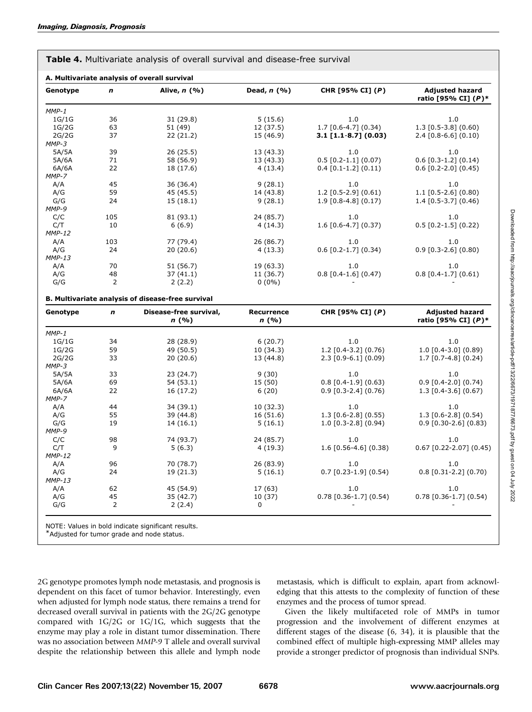| Genotype   | n              | Alive, $n$ (%)                                    | Dead, $n(%)$              | CHR [95% CI] (P)         | <b>Adjusted hazard</b><br>ratio [95% CI] (P)* |
|------------|----------------|---------------------------------------------------|---------------------------|--------------------------|-----------------------------------------------|
| $MMP-1$    |                |                                                   |                           |                          |                                               |
| 1G/1G      | 36             | 31 (29.8)                                         | 5(15.6)                   | 1.0                      | 1.0                                           |
| 1G/2G      | 63             | 51 (49)                                           | 12 (37.5)                 | $1.7$ [0.6-4.7] (0.34)   | $1.3$ [0.5-3.8] (0.60)                        |
| 2G/2G      | 37             | 22(21.2)                                          | 15 (46.9)                 | $3.1$ [1.1-8.7] (0.03)   | $2.4$ [0.8-6.6] (0.10)                        |
| $MMP-3$    |                |                                                   |                           |                          |                                               |
| 5A/5A      | 39             | 26 (25.5)                                         | 13 (43.3)                 | 1.0                      | 1.0                                           |
| 5A/6A      | 71             | 58 (56.9)                                         | 13 (43.3)                 | $0.5$ [0.2-1.1] (0.07)   | $0.6$ [0.3-1.2] (0.14)                        |
| 6A/6A      | 22             | 18 (17.6)                                         | 4(13.4)                   | $0.4$ [0.1-1.2] (0.11)   | $0.6$ [0.2-2.0] (0.45)                        |
| MMP-7      |                |                                                   |                           |                          |                                               |
| A/A        | 45             | 36 (36.4)                                         | 9(28.1)                   | 1.0                      | 1.0                                           |
| A/G        | 59             | 45 (45.5)                                         | 14 (43.8)                 | $1.2$ [0.5-2.9] (0.61)   | 1.1 [0.5-2.6] (0.80)                          |
| G/G        | 24             | 15(18.1)                                          | 9(28.1)                   | $1.9$ [0.8-4.8] (0.17)   | $1.4$ [0.5-3.7] (0.46)                        |
| MMP-9      |                |                                                   |                           |                          |                                               |
| C/C        | 105            | 81 (93.1)                                         | 24 (85.7)                 | 1.0                      | 1.0                                           |
| C/T        | 10             | 6(6.9)                                            | 4(14.3)                   | $1.6$ [0.6-4.7] (0.37)   | $0.5$ [0.2-1.5] (0.22)                        |
| $MMP-12$   |                |                                                   |                           |                          |                                               |
| A/A        | 103            | 77 (79.4)                                         | 26 (86.7)                 | 1.0                      | 1.0                                           |
| A/G        | 24             | 20(20.6)                                          | 4(13.3)                   | $0.6$ [0.2-1.7] (0.34)   | $0.9$ [0.3-2.6] (0.80)                        |
| $MMP-13$   |                |                                                   |                           |                          |                                               |
| A/A        | 70             | 51 (56.7)                                         | 19 (63.3)                 | 1.0                      | 1.0                                           |
| A/G        | 48             | 37(41.1)                                          | 11 (36.7)                 | $0.8$ [0.4-1.6] (0.47)   | $0.8$ [0.4-1.7] (0.61)                        |
|            |                |                                                   |                           |                          |                                               |
|            |                |                                                   |                           |                          |                                               |
| G/G        | $\overline{2}$ | 2(2.2)                                            | $0(0\%)$                  |                          |                                               |
|            |                | B. Multivariate analysis of disease-free survival |                           |                          |                                               |
| Genotype   | $\mathbf n$    | Disease-free survival,<br>n(%)                    | <b>Recurrence</b><br>n(%) | CHR [95% CI] (P)         | <b>Adjusted hazard</b><br>ratio [95% CI] (P)* |
|            |                |                                                   |                           |                          |                                               |
| $MMP-1$    |                |                                                   |                           |                          |                                               |
| 1G/1G      | 34             | 28 (28.9)                                         | 6(20.7)                   | 1.0                      | 1.0                                           |
| 1G/2G      | 59             | 49 (50.5)                                         | 10 (34.3)                 | $1.2$ [0.4-3.2] (0.76)   | $1.0$ [0.4-3.0] (0.89)                        |
| 2G/2G      | 33             | 20(20.6)                                          | 13 (44.8)                 | $2.3$ [0.9-6.1] (0.09)   | $1.7$ [0.7-4.8] (0.24)                        |
| $MMP-3$    |                |                                                   |                           |                          |                                               |
| 5A/5A      | 33             | 23 (24.7)                                         | 9(30)                     | 1.0                      | 1.0                                           |
| 5A/6A      | 69             | 54 (53.1)                                         | 15 (50)                   | $0.8$ [0.4-1.9] (0.63)   | $0.9$ [0.4-2.0] (0.74)                        |
| 6A/6A      | 22             | 16 (17.2)                                         | 6(20)                     | $0.9$ [0.3-2.4] (0.76)   | $1.3$ [0.4-3.6] (0.67)                        |
| MMP-7      |                |                                                   |                           |                          |                                               |
| A/A        | 44             | 34 (39.1)                                         | 10(32.3)                  | 1.0                      | 1.0                                           |
| A/G        | 55             | 39 (44.8)                                         | 16 (51.6)                 | $1.3$ [0.6-2.8] (0.55)   | $1.3$ [0.6-2.8] (0.54)                        |
| G/G        | 19             | 14 (16.1)                                         | 5(16.1)                   | $1.0$ [0.3-2.8] (0.94)   | $0.9$ [0.30-2.6] (0.83)                       |
| MMP-9      |                |                                                   |                           |                          |                                               |
| C/C        | 98             | 74 (93.7)                                         | 24 (85.7)                 | 1.0                      | 1.0                                           |
| C/T        | 9              | 5(6.3)                                            | 4(19.3)                   | $1.6$ [0.56-4.6] (0.38)  |                                               |
| $MMP-12$   |                |                                                   |                           |                          | $0.67$ [0.22-2.07] (0.45)                     |
| A/A        | 96             | 70 (78.7)                                         | 26 (83.9)                 | 1.0                      | 1.0                                           |
| A/G        | 24             | 19 (21.3)                                         | 5(16.1)                   | $0.7$ [0.23-1.9] (0.54)  | $0.8$ [0.31-2.2] (0.70)                       |
| $MMP-13$   |                |                                                   |                           |                          |                                               |
| A/A        | 62             | 45 (54.9)                                         | 17 (63)                   | 1.0                      | 1.0                                           |
| A/G<br>G/G | 45<br>2        | 35 (42.7)<br>2(2.4)                               | 10 (37)<br>0              | $0.78$ [0.36-1.7] (0.54) | $0.78$ [0.36-1.7] (0.54)                      |

Table 4. Multivariate analysis of overall survival and disease-free survival

NOTE: Values in bold indicate significant results.

\*Adjusted for tumor grade and node status.

2G genotype promotes lymph node metastasis, and prognosis is dependent on this facet of tumor behavior. Interestingly, even when adjusted for lymph node status, there remains a trend for decreased overall survival in patients with the 2G/2G genotype compared with 1G/2G or 1G/1G, which suggests that the enzyme may play a role in distant tumor dissemination. There was no association between MMP-9 T allele and overall survival despite the relationship between this allele and lymph node

metastasis, which is difficult to explain, apart from acknowledging that this attests to the complexity of function of these enzymes and the process of tumor spread.

Given the likely multifaceted role of MMPs in tumor progression and the involvement of different enzymes at different stages of the disease (6, 34), it is plausible that the combined effect of multiple high-expressing MMP alleles may provide a stronger predictor of prognosis than individual SNPs.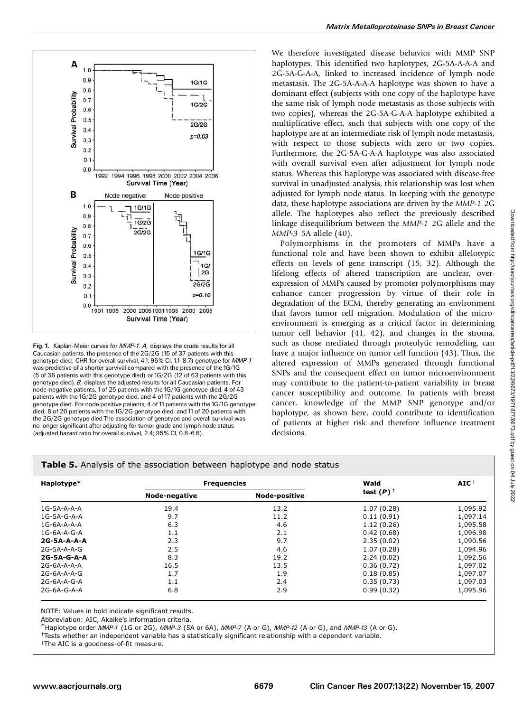

Fig. 1. Kaplan-Meier curves for MMP-1. A, displays the crude results for all Caucasian patients, the presence of the 2G/2G (15 of 37 patients with this genotype died; CHR for overall survival, 4.1; 95% CI, 1.1-8.7) genotype for MMP-1 was predictive of a shorter survival compared with the presence of the 1G/1G (5 of 36 patients with this genotype died) or 1G/2G (12 of 63 patients with this genotype died). B, displays the adjusted results for all Caucasian patients. For node-negative patients, 1of 25 patients with the 1G/1G genotype died, 4 of 43 patients with the 1G/2G genotype died, and 4 of 17 patients with the 2G/2G genotype died. For node positive patients, 4 of 11 patients with the 1G/1G genotype died, 8 of 20 patients with the 1G/2G genotype died, and 11of 20 patients with the 2G/2G genotype died The association of genotype and overall survival was no longer significant after adjusting for tumor grade and lymph node status (adjusted hazard ratio for overall survival, 2.4; 95% CI, 0.8-6.6).

We therefore investigated disease behavior with MMP SNP haplotypes. This identified two haplotypes, 2G-5A-A-A-A and 2G-5A-G-A-A, linked to increased incidence of lymph node metastasis. The 2G-5A-A-A-A haplotype was shown to have a dominant effect (subjects with one copy of the haplotype have the same risk of lymph node metastasis as those subjects with two copies), whereas the 2G-5A-G-A-A haplotype exhibited a multiplicative effect, such that subjects with one copy of the haplotype are at an intermediate risk of lymph node metastasis, with respect to those subjects with zero or two copies. Furthermore, the 2G-5A-G-A-A haplotype was also associated with overall survival even after adjustment for lymph node status. Whereas this haplotype was associated with disease-free survival in unadjusted analysis, this relationship was lost when adjusted for lymph node status. In keeping with the genotype data, these haplotype associations are driven by the MMP-1 2G allele. The haplotypes also reflect the previously described linkage disequilibrium between the MMP-1 2G allele and the MMP-3 5A allele (40).

Polymorphisms in the promoters of MMPs have a functional role and have been shown to exhibit allelotypic effects on levels of gene transcript (15, 32). Although the lifelong effects of altered transcription are unclear, overexpression of MMPs caused by promoter polymorphisms may enhance cancer progression by virtue of their role in degradation of the ECM, thereby generating an environment that favors tumor cell migration. Modulation of the microenvironment is emerging as a critical factor in determining tumor cell behavior (41, 42), and changes in the stroma, such as those mediated through proteolytic remodeling, can have a major influence on tumor cell function (43). Thus, the altered expression of MMPs generated through functional SNPs and the consequent effect on tumor microenvironment may contribute to the patient-to-patient variability in breast cancer susceptibility and outcome. In patients with breast cancer, knowledge of the MMP SNP genotype and/or haplotype, as shown here, could contribute to identification of patients at higher risk and therefore influence treatment decisions.

### Table 5. Analysis of the association between haplotype and node status

| Haplotype*    | <b>Frequencies</b> |                      | Wald         |          |
|---------------|--------------------|----------------------|--------------|----------|
|               | Node-negative      | <b>Node-positive</b> | test $(P)^+$ |          |
| $1G-5A-A-A-A$ | 19.4               | 13.2                 | 1.07(0.28)   | 1,095.92 |
| $1G-5A-G-A-A$ | 9.7                | 11.2                 | 0.11(0.91)   | 1,097.14 |
| $1G-6A-A-A-A$ | 6.3                | 4.6                  | 1.12(0.26)   | 1,095.58 |
| $1G-6A-A-G-A$ | 1.1                | 2.1                  | 0.42(0.68)   | 1,096.98 |
| 2G-5A-A-A-A   | 2.3                | 9.7                  | 2.35(0.02)   | 1,090.56 |
| $2G-5A-A-A-G$ | 2.5                | 4.6                  | 1.07(0.28)   | 1,094.96 |
| 2G-5A-G-A-A   | 8.3                | 19.2                 | 2.24(0.02)   | 1,092.56 |
| 2G-6A-A-A-A   | 16.5               | 13.5                 | 0.36(0.72)   | 1,097.02 |
| 2G-6A-A-A-G   | 1.7                | 1.9                  | 0.18(0.85)   | 1,097.07 |
| 2G-6A-A-G-A   | 1.1                | 2.4                  | 0.35(0.73)   | 1,097.03 |
| $2G-6A-G-A-A$ | 6.8                | 2.9                  | 0.99(0.32)   | 1,095.96 |

NOTE: Values in bold indicate significant results.

Abbreviation: AIC, Akaike's information criteria.

 $^*$ Haplotype order *MMP-1* (1G or 2G), *MMP-3* (5A or 6A), *MMP-7* (A or G), *MMP-1*2 (A or G), and *MMP-1*3 (A or G).

<sup>+</sup>Tests whether an independent variable has a statistically significant relationship with a dependent variable.

<sup>‡</sup>The AIC is a goodness-of-fit measure.